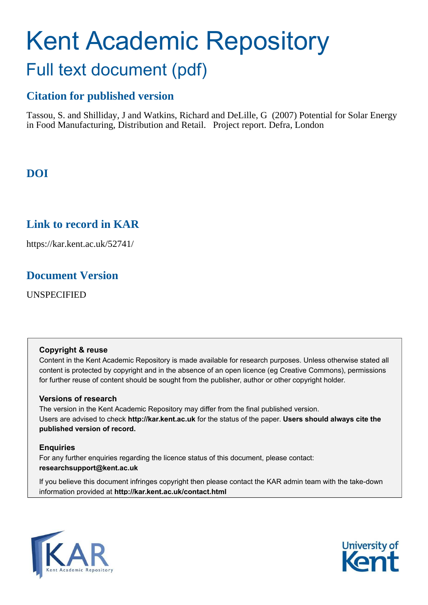# Kent Academic Repository Full text document (pdf)

## **Citation for published version**

Tassou, S. and Shilliday, J and Watkins, Richard and DeLille, G (2007) Potential for Solar Energy in Food Manufacturing, Distribution and Retail. Project report. Defra, London

## **DOI**

## **Link to record in KAR**

https://kar.kent.ac.uk/52741/

## **Document Version**

UNSPECIFIED

#### **Copyright & reuse**

Content in the Kent Academic Repository is made available for research purposes. Unless otherwise stated all content is protected by copyright and in the absence of an open licence (eg Creative Commons), permissions for further reuse of content should be sought from the publisher, author or other copyright holder.

#### **Versions of research**

The version in the Kent Academic Repository may differ from the final published version. Users are advised to check **http://kar.kent.ac.uk** for the status of the paper. **Users should always cite the published version of record.**

#### **Enquiries**

For any further enquiries regarding the licence status of this document, please contact: **researchsupport@kent.ac.uk**

If you believe this document infringes copyright then please contact the KAR admin team with the take-down information provided at **http://kar.kent.ac.uk/contact.html**



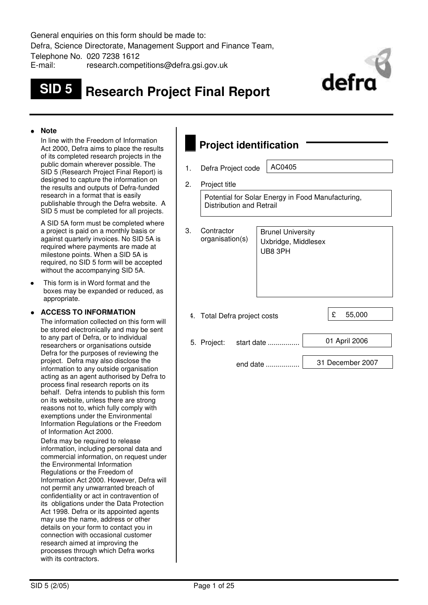General enquiries on this form should be made to: Defra, Science Directorate, Management Support and Finance Team, Telephone No. 020 7238 1612 E-mail: research.competitions@defra.gsi.gov.uk

## **SID 5 Research Project Final Report**



#### **Note**

 In line with the Freedom of Information Act 2000, Defra aims to place the results of its completed research projects in the public domain wherever possible. The SID 5 (Research Project Final Report) is designed to capture the information on the results and outputs of Defra-funded research in a format that is easily publishable through the Defra website. A SID 5 must be completed for all projects.

 A SID 5A form must be completed where a project is paid on a monthly basis or against quarterly invoices. No SID 5A is required where payments are made at milestone points. When a SID 5A is required, no SID 5 form will be accepted without the accompanying SID 5A.

This form is in Word format and the boxes may be expanded or reduced, as appropriate.

#### **ACCESS TO INFORMATION**

 The information collected on this form will be stored electronically and may be sent to any part of Defra, or to individual researchers or organisations outside Defra for the purposes of reviewing the project. Defra may also disclose the information to any outside organisation acting as an agent authorised by Defra to process final research reports on its behalf. Defra intends to publish this form on its website, unless there are strong reasons not to, which fully comply with exemptions under the Environmental Information Regulations or the Freedom of Information Act 2000.

 Defra may be required to release information, including personal data and commercial information, on request under the Environmental Information Regulations or the Freedom of Information Act 2000. However, Defra will not permit any unwarranted breach of confidentiality or act in contravention of its obligations under the Data Protection Act 1998. Defra or its appointed agents may use the name, address or other details on your form to contact you in connection with occasional customer research aimed at improving the processes through which Defra works with its contractors.

## **Project identification**

1. Defra Project code | AC0405

2. Project title

Potential for Solar Energy in Food Manufacturing, Distribution and Retrail

| 3. | Contractor<br>organisation(s) |            | <b>Brunel University</b><br>Uxbridge, Middlesex<br>UB8 3PH |   |                  |
|----|-------------------------------|------------|------------------------------------------------------------|---|------------------|
|    | 4. Total Defra project costs  |            |                                                            | £ | 55,000           |
|    | 5. Project:                   | start date |                                                            |   | 01 April 2006    |
|    |                               |            |                                                            |   |                  |
|    |                               |            | end date                                                   |   | 31 December 2007 |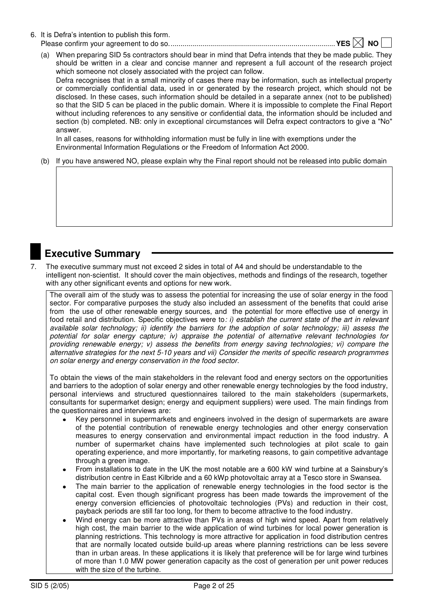6. It is Defra"s intention to publish this form.

Please confirm your agreement to do so. ...................................................................................**YES NO** 

(a) When preparing SID 5s contractors should bear in mind that Defra intends that they be made public. They should be written in a clear and concise manner and represent a full account of the research project which someone not closely associated with the project can follow.

 Defra recognises that in a small minority of cases there may be information, such as intellectual property or commercially confidential data, used in or generated by the research project, which should not be disclosed. In these cases, such information should be detailed in a separate annex (not to be published) so that the SID 5 can be placed in the public domain. Where it is impossible to complete the Final Report without including references to any sensitive or confidential data, the information should be included and section (b) completed. NB: only in exceptional circumstances will Defra expect contractors to give a "No" answer.

 In all cases, reasons for withholding information must be fully in line with exemptions under the Environmental Information Regulations or the Freedom of Information Act 2000.

(b) If you have answered NO, please explain why the Final report should not be released into public domain

### **Executive Summary**

7. The executive summary must not exceed 2 sides in total of A4 and should be understandable to the intelligent non-scientist. It should cover the main objectives, methods and findings of the research, together with any other significant events and options for new work.

The overall aim of the study was to assess the potential for increasing the use of solar energy in the food sector. For comparative purposes the study also included an assessment of the benefits that could arise from the use of other renewable energy sources, and the potential for more effective use of energy in food retail and distribution. Specific objectives were to*: i) establish the current state of the art in relevant available solar technology; ii) identify the barriers for the adoption of solar technology; iii) assess the potential for solar energy capture; iv) appraise the potential of alternative relevant technologies for providing renewable energy; v) assess the benefits from energy saving technologies; vi) compare the alternative strategies for the next 5-10 years and vii) Consider the merits of specific research programmes on solar energy and energy conservation in the food sector.* 

To obtain the views of the main stakeholders in the relevant food and energy sectors on the opportunities and barriers to the adoption of solar energy and other renewable energy technologies by the food industry, personal interviews and structured questionnaires tailored to the main stakeholders (supermarkets, consultants for supermarket design; energy and equipment suppliers) were used. The main findings from the questionnaires and interviews are:

- Key personnel in supermarkets and engineers involved in the design of supermarkets are aware of the potential contribution of renewable energy technologies and other energy conservation measures to energy conservation and environmental impact reduction in the food industry. A number of supermarket chains have implemented such technologies at pilot scale to gain operating experience, and more importantly, for marketing reasons, to gain competitive advantage through a green image.
- From installations to date in the UK the most notable are a 600 kW wind turbine at a Sainsbury"s distribution centre in East Kilbride and a 60 kWp photovoltaic array at a Tesco store in Swansea.
- The main barrier to the application of renewable energy technologies in the food sector is the capital cost. Even though significant progress has been made towards the improvement of the energy conversion efficiencies of photovoltaic technologies (PVs) and reduction in their cost, payback periods are still far too long, for them to become attractive to the food industry.
- Wind energy can be more attractive than PVs in areas of high wind speed. Apart from relatively high cost, the main barrier to the wide application of wind turbines for local power generation is planning restrictions. This technology is more attractive for application in food distribution centres that are normally located outside build-up areas where planning restrictions can be less severe than in urban areas. In these applications it is likely that preference will be for large wind turbines of more than 1.0 MW power generation capacity as the cost of generation per unit power reduces with the size of the turbine.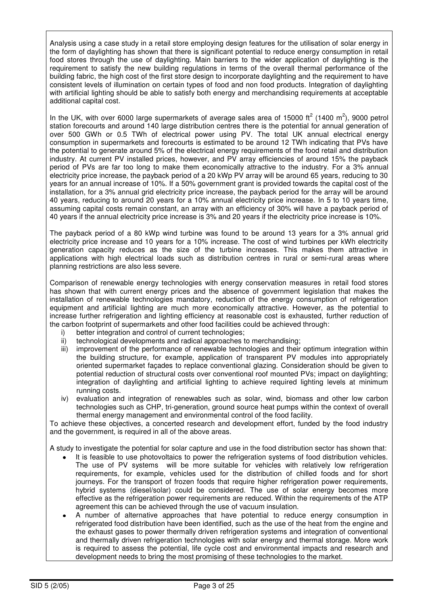Analysis using a case study in a retail store employing design features for the utilisation of solar energy in the form of daylighting has shown that there is significant potential to reduce energy consumption in retail food stores through the use of daylighting. Main barriers to the wider application of daylighting is the requirement to satisfy the new building regulations in terms of the overall thermal performance of the building fabric, the high cost of the first store design to incorporate daylighting and the requirement to have consistent levels of illumination on certain types of food and non food products. Integration of daylighting with artificial lighting should be able to satisfy both energy and merchandising requirements at acceptable additional capital cost.

In the UK, with over 6000 large supermarkets of average sales area of 15000 ft<sup>2</sup> (1400 m<sup>2</sup>), 9000 petrol station forecourts and around 140 large distribution centres there is the potential for annual generation of over 500 GWh or 0.5 TWh of electrical power using PV. The total UK annual electrical energy consumption in supermarkets and forecourts is estimated to be around 12 TWh indicating that PVs have the potential to generate around 5% of the electrical energy requirements of the food retail and distribution industry. At current PV installed prices, however, and PV array efficiencies of around 15% the payback period of PVs are far too long to make them economically attractive to the industry. For a 3% annual electricity price increase, the payback period of a 20 kWp PV array will be around 65 years, reducing to 30 years for an annual increase of 10%. If a 50% government grant is provided towards the capital cost of the installation, for a 3% annual grid electricity price increase, the payback period for the array will be around 40 years, reducing to around 20 years for a 10% annual electricity price increase. In 5 to 10 years time, assuming capital costs remain constant, an array with an efficiency of 30% will have a payback period of 40 years if the annual electricity price increase is 3% and 20 years if the electricity price increase is 10%.

The payback period of a 80 kWp wind turbine was found to be around 13 years for a 3% annual grid electricity price increase and 10 years for a 10% increase. The cost of wind turbines per kWh electricity generation capacity reduces as the size of the turbine increases. This makes them attractive in applications with high electrical loads such as distribution centres in rural or semi-rural areas where planning restrictions are also less severe.

Comparison of renewable energy technologies with energy conservation measures in retail food stores has shown that with current energy prices and the absence of government legislation that makes the installation of renewable technologies mandatory, reduction of the energy consumption of refrigeration equipment and artificial lighting are much more economically attractive. However, as the potential to increase further refrigeration and lighting efficiency at reasonable cost is exhausted, further reduction of the carbon footprint of supermarkets and other food facilities could be achieved through:

- better integration and control of current technologies;
- ii) technological developments and radical approaches to merchandising;
- iii) improvement of the performance of renewable technologies and their optimum integration within the building structure, for example, application of transparent PV modules into appropriately oriented supermarket façades to replace conventional glazing. Consideration should be given to potential reduction of structural costs over conventional roof mounted PVs; impact on daylighting; integration of daylighting and artificial lighting to achieve required lighting levels at minimum running costs.
- iv) evaluation and integration of renewables such as solar, wind, biomass and other low carbon technologies such as CHP, tri-generation, ground source heat pumps within the context of overall thermal energy management and environmental control of the food facility.

To achieve these objectives, a concerted research and development effort, funded by the food industry and the government, is required in all of the above areas.

A study to investigate the potential for solar capture and use in the food distribution sector has shown that:

- It is feasible to use photovoltaics to power the refrigeration systems of food distribution vehicles. The use of PV systems will be more suitable for vehicles with relatively low refrigeration requirements, for example, vehicles used for the distribution of chilled foods and for short journeys. For the transport of frozen foods that require higher refrigeration power requirements, hybrid systems (diesel/solar) could be considered. The use of solar energy becomes more effective as the refrigeration power requirements are reduced. Within the requirements of the ATP agreement this can be achieved through the use of vacuum insulation.
- A number of alternative approaches that have potential to reduce energy consumption in refrigerated food distribution have been identified, such as the use of the heat from the engine and the exhaust gases to power thermally driven refrigeration systems and integration of conventional and thermally driven refrigeration technologies with solar energy and thermal storage. More work is required to assess the potential, life cycle cost and environmental impacts and research and development needs to bring the most promising of these technologies to the market.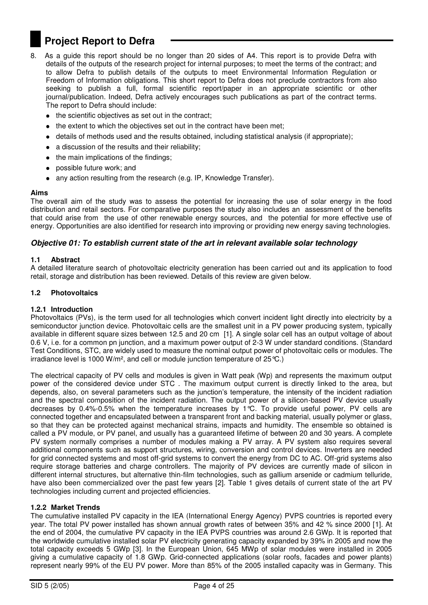## **Project Report to Defra**

- 8. As a guide this report should be no longer than 20 sides of A4. This report is to provide Defra with details of the outputs of the research project for internal purposes; to meet the terms of the contract; and to allow Defra to publish details of the outputs to meet Environmental Information Regulation or Freedom of Information obligations. This short report to Defra does not preclude contractors from also seeking to publish a full, formal scientific report/paper in an appropriate scientific or other journal/publication. Indeed, Defra actively encourages such publications as part of the contract terms. The report to Defra should include:
	- the scientific objectives as set out in the contract;
	- the extent to which the objectives set out in the contract have been met;
	- details of methods used and the results obtained, including statistical analysis (if appropriate);
	- a discussion of the results and their reliability;
	- the main implications of the findings;
	- possible future work; and
	- any action resulting from the research (e.g. IP, Knowledge Transfer).

#### **Aims**

The overall aim of the study was to assess the potential for increasing the use of solar energy in the food distribution and retail sectors. For comparative purposes the study also includes an assessment of the benefits that could arise from the use of other renewable energy sources, and the potential for more effective use of energy. Opportunities are also identified for research into improving or providing new energy saving technologies.

#### *Objective 01: To establish current state of the art in relevant available solar technology*

#### **1.1 Abstract**

A detailed literature search of photovoltaic electricity generation has been carried out and its application to food retail, storage and distribution has been reviewed. Details of this review are given below.

#### **1.2 Photovoltaics**

#### **1.2.1 Introduction**

Photovoltaics (PVs), is the term used for all technologies which convert incident light directly into electricity by a semiconductor junction device. Photovoltaic cells are the smallest unit in a PV power producing system, typically available in different square sizes between 12.5 and 20 cm [1]. A single solar cell has an output voltage of about 0.6 V, i.e. for a common pn junction, and a maximum power output of 2-3 W under standard conditions. (Standard Test Conditions, STC, are widely used to measure the nominal output power of photovoltaic cells or modules. The irradiance level is 1000 W/m<sup>2</sup>, and cell or module junction temperature of  $25^{\circ}$ C.)

The electrical capacity of PV cells and modules is given in Watt peak (Wp) and represents the maximum output power of the considered device under STC . The maximum output current is directly linked to the area, but depends, also, on several parameters such as the junction"s temperature, the intensity of the incident radiation and the spectral composition of the incident radiation. The output power of a silicon-based PV device usually decreases by 0.4%-0.5% when the temperature increases by 1°C. To provide useful power, PV cells are connected together and encapsulated between a transparent front and backing material, usually polymer or glass, so that they can be protected against mechanical strains, impacts and humidity. The ensemble so obtained is called a PV module, or PV panel, and usually has a guaranteed lifetime of between 20 and 30 years. A complete PV system normally comprises a number of modules making a PV array. A PV system also requires several additional components such as support structures, wiring, conversion and control devices. Inverters are needed for grid connected systems and most off-grid systems to convert the energy from DC to AC. Off-grid systems also require storage batteries and charge controllers. The majority of PV devices are currently made of silicon in different internal structures, but alternative thin-film technologies, such as gallium arsenide or cadmium telluride, have also been commercialized over the past few years [2]. Table 1 gives details of current state of the art PV technologies including current and projected efficiencies.

#### **1.2.2 Market Trends**

The cumulative installed PV capacity in the IEA (International Energy Agency) PVPS countries is reported every year. The total PV power installed has shown annual growth rates of between 35% and 42 % since 2000 [1]. At the end of 2004, the cumulative PV capacity in the IEA PVPS countries was around 2.6 GWp. It is reported that the worldwide cumulative installed solar PV electricity generating capacity expanded by 39% in 2005 and now the total capacity exceeds 5 GWp [3]. In the European Union, 645 MWp of solar modules were installed in 2005 giving a cumulative capacity of 1.8 GWp. Grid-connected applications (solar roofs, facades and power plants) represent nearly 99% of the EU PV power. More than 85% of the 2005 installed capacity was in Germany. This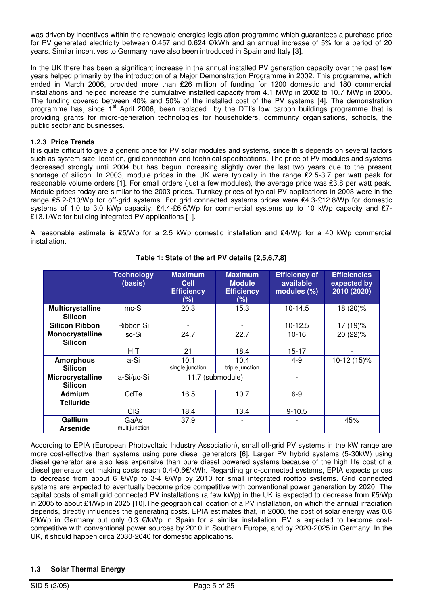was driven by incentives within the renewable energies legislation programme which guarantees a purchase price for PV generated electricity between 0.457 and 0.624 €/kWh and an annual increase of 5% for a period of 20 years. Similar incentives to Germany have also been introduced in Spain and Italy [3].

In the UK there has been a significant increase in the annual installed PV generation capacity over the past few years helped primarily by the introduction of a Major Demonstration Programme in 2002. This programme, which ended in March 2006, provided more than £26 million of funding for 1200 domestic and 180 commercial installations and helped increase the cumulative installed capacity from 4.1 MWp in 2002 to 10.7 MWp in 2005. The funding covered between 40% and 50% of the installed cost of the PV systems [4]. The demonstration programme has, since 1<sup>st</sup> April 2006, been replaced by the DTI's low carbon buildings programme that is providing grants for micro-generation technologies for householders, community organisations, schools, the public sector and businesses.

#### **1.2.3 Price Trends**

It is quite difficult to give a generic price for PV solar modules and systems, since this depends on several factors such as system size, location, grid connection and technical specifications. The price of PV modules and systems decreased strongly until 2004 but has begun increasing slightly over the last two years due to the present shortage of silicon. In 2003, module prices in the UK were typically in the range £2.5-3.7 per watt peak for reasonable volume orders [1]. For small orders (just a few modules), the average price was £3.8 per watt peak. Module prices today are similar to the 2003 prices. Turnkey prices of typical PV applications in 2003 were in the range £5.2-£10/Wp for off-grid systems. For grid connected systems prices were £4.3-£12.8/Wp for domestic systems of 1.0 to 3.0 kWp capacity, £4.4-£6.6/Wp for commercial systems up to 10 kWp capacity and £7-£13.1/Wp for building integrated PV applications [1].

A reasonable estimate is £5/Wp for a 2.5 kWp domestic installation and £4/Wp for a 40 kWp commercial installation.

|                                           | <b>Technology</b><br>(basis) | <b>Maximum</b><br><b>Cell</b><br><b>Efficiency</b><br>$(\%)$ | <b>Maximum</b><br><b>Module</b><br><b>Efficiency</b><br>$(\%)$ | <b>Efficiency of</b><br>available<br>modules (%) | <b>Efficiencies</b><br>expected by<br>2010 (2020) |
|-------------------------------------------|------------------------------|--------------------------------------------------------------|----------------------------------------------------------------|--------------------------------------------------|---------------------------------------------------|
| <b>Multicrystalline</b><br><b>Silicon</b> | mc-Si                        | 20.3                                                         | 15.3                                                           | $10-14.5$                                        | 18 (20)%                                          |
| <b>Silicon Ribbon</b>                     | Ribbon Si                    |                                                              |                                                                | $10-12.5$                                        | 17 (19)%                                          |
| Monocrystalline<br><b>Silicon</b>         | sc-Si                        | 24.7                                                         | 22.7                                                           | $10 - 16$                                        | 20 (22)%                                          |
|                                           | HIT                          | 21                                                           | 18.4                                                           | $15 - 17$                                        |                                                   |
| <b>Amorphous</b><br><b>Silicon</b>        | a-Si                         | 10.1<br>single junction                                      | 10.4<br>triple junction                                        | $4-9$                                            | 10-12 (15)%                                       |
| Microcrystalline<br><b>Silicon</b>        | a-Si/µc-Si                   | 11.7 (submodule)                                             |                                                                |                                                  |                                                   |
| <b>Admium</b><br><b>Telluride</b>         | CdTe                         | 16.5                                                         | 10.7                                                           | $6-9$                                            |                                                   |
|                                           | <b>CIS</b>                   | 18.4                                                         | 13.4                                                           | $9 - 10.5$                                       |                                                   |
| Gallium<br><b>Arsenide</b>                | GaAs<br>multijunction        | 37.9                                                         |                                                                |                                                  | 45%                                               |

#### **Table 1: State of the art PV details [2,5,6,7,8]**

According to EPIA (European Photovoltaic Industry Association), small off-grid PV systems in the kW range are more cost-effective than systems using pure diesel generators [6]. Larger PV hybrid systems (5-30kW) using diesel generator are also less expensive than pure diesel powered systems because of the high life cost of a diesel generator set making costs reach 0.4-0.6€/kWh. Regarding grid-connected systems, EPIA expects prices to decrease from about 6 €/Wp to 3-4 €/Wp by 2010 for small integrated rooftop systems. Grid connected systems are expected to eventually become price competitive with conventional power generation by 2020. The capital costs of small grid connected PV installations (a few kWp) in the UK is expected to decrease from £5/Wp in 2005 to about ┾1/Wp in 2025 [10].The geographical location of a PV installation, on which the annual irradiation depends, directly influences the generating costs. EPIA estimates that, in 2000, the cost of solar energy was 0.6 €/kWp in Germany but only 0.3 €/kWp in Spain for a similar installation. PV is expected to become costcompetitive with conventional power sources by 2010 in Southern Europe, and by 2020-2025 in Germany. In the UK, it should happen circa 2030-2040 for domestic applications.

#### **1.3 Solar Thermal Energy**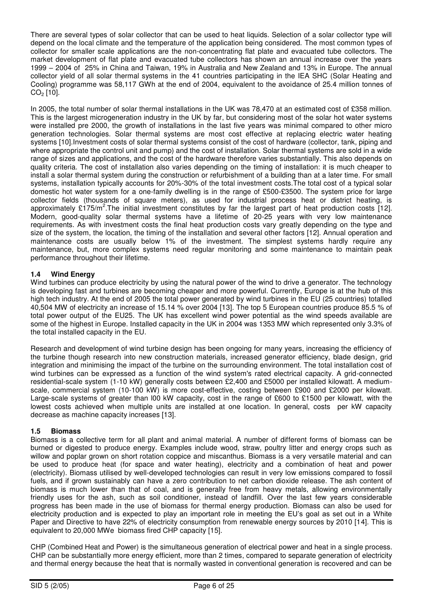There are several types of solar collector that can be used to heat liquids. Selection of a solar collector type will depend on the local climate and the temperature of the application being considered. The most common types of collector for smaller scale applications are the non-concentrating flat plate and evacuated tube collectors. The market development of flat plate and evacuated tube collectors has shown an annual increase over the years 1999 – 2004 of 25% in China and Taiwan, 19% in Australia and New Zealand and 13% in Europe. The annual collector yield of all solar thermal systems in the 41 countries participating in the IEA SHC (Solar Heating and Cooling) programme was 58,117 GWh at the end of 2004, equivalent to the avoidance of 25.4 million tonnes of  $CO<sub>2</sub>$  [10].

In 2005, the total number of solar thermal installations in the UK was 78,470 at an estimated cost of £358 million. This is the largest microgeneration industry in the UK by far, but considering most of the solar hot water systems were installed pre 2000, the growth of installations in the last five years was minimal compared to other micro generation technologies. Solar thermal systems are most cost effective at replacing electric water heating systems [10].Investment costs of solar thermal systems consist of the cost of hardware (collector, tank, piping and where appropriate the control unit and pump) and the cost of installation. Solar thermal systems are sold in a wide range of sizes and applications, and the cost of the hardware therefore varies substantially. This also depends on quality criteria. The cost of installation also varies depending on the timing of installation: it is much cheaper to install a solar thermal system during the construction or refurbishment of a building than at a later time. For small systems, installation typically accounts for 20%-30% of the total investment costs.The total cost of a typical solar domestic hot water system for a one-family dwelling is in the range of £500-£3500. The system price for large collector fields (thousands of square meters), as used for industrial process heat or district heating, is approximately £175/m<sup>2</sup>.The initial investment constitutes by far the largest part of heat production costs [12]. Modern, good-quality solar thermal systems have a lifetime of 20-25 years with very low maintenance requirements. As with investment costs the final heat production costs vary greatly depending on the type and size of the system, the location, the timing of the installation and several other factors [12]. Annual operation and maintenance costs are usually below 1% of the investment. The simplest systems hardly require any maintenance, but, more complex systems need regular monitoring and some maintenance to maintain peak performance throughout their lifetime.

#### **1.4 Wind Energy**

Wind turbines can produce electricity by using the natural power of the wind to drive a generator. The technology is developing fast and turbines are becoming cheaper and more powerful. Currently, Europe is at the hub of this high tech industry. At the end of 2005 the total power generated by wind turbines in the EU (25 countries) totalled 40,504 MW of electricity an increase of 15.14 % over 2004 [13]. The top 5 European countries produce 85.5 % of total power output of the EU25. The UK has excellent wind power potential as the wind speeds available are some of the highest in Europe. Installed capacity in the UK in 2004 was 1353 MW which represented only 3.3% of the total installed capacity in the EU.

Research and development of wind turbine design has been ongoing for many years, increasing the efficiency of the turbine though research into new construction materials, increased generator efficiency, blade design, grid integration and minimising the impact of the turbine on the surrounding environment. The total installation cost of wind turbines can be expressed as a function of the wind system's rated electrical capacity. A grid-connected residential-scale system (1-10 kW) generally costs between £2,400 and £5000 per installed kilowatt. A mediumscale, commercial system (10-100 kW) is more cost-effective, costing between £900 and £2000 per kilowatt. Large-scale systems of greater than l00 kW capacity, cost in the range of £600 to £1500 per kilowatt, with the lowest costs achieved when multiple units are installed at one location. In general, costs per kW capacity decrease as machine capacity increases [13].

#### **1.5 Biomass**

Biomass is a collective term for all plant and animal material. A number of different forms of biomass can be burned or digested to produce energy. Examples include wood, straw, poultry litter and energy crops such as willow and poplar grown on short rotation coppice and miscanthus. Biomass is a very versatile material and can be used to produce heat (for space and water heating), electricity and a combination of heat and power (electricity). Biomass utilised by well-developed technologies can result in very low emissions compared to fossil fuels, and if grown sustainably can have a zero contribution to net carbon dioxide release. The ash content of biomass is much lower than that of coal, and is generally free from heavy metals, allowing environmentally friendly uses for the ash, such as soil conditioner, instead of landfill. Over the last few years considerable progress has been made in the use of biomass for thermal energy production. Biomass can also be used for electricity production and is expected to play an important role in meeting the EU"s goal as set out in a White Paper and Directive to have 22% of electricity consumption from renewable energy sources by 2010 [14]. This is equivalent to 20,000 MWe biomass fired CHP capacity [15].

CHP (Combined Heat and Power) is the simultaneous generation of electrical power and heat in a single process. CHP can be substantially more energy efficient, more than 2 times, compared to separate generation of electricity and thermal energy because the heat that is normally wasted in conventional generation is recovered and can be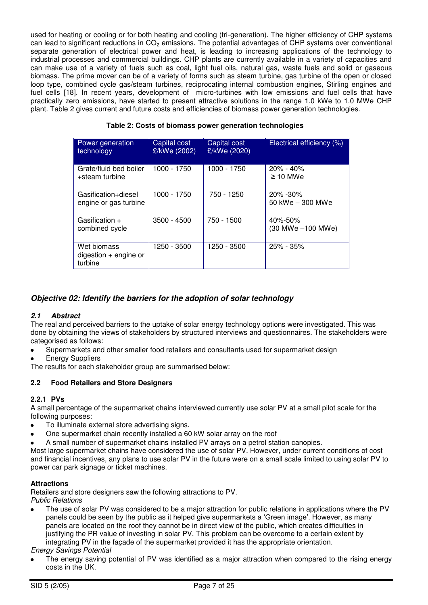used for heating or cooling or for both heating and cooling (tri-generation). The higher efficiency of CHP systems can lead to significant reductions in  $CO<sub>2</sub>$  emissions. The potential advantages of CHP systems over conventional separate generation of electrical power and heat, is leading to increasing applications of the technology to industrial processes and commercial buildings. CHP plants are currently available in a variety of capacities and can make use of a variety of fuels such as coal, light fuel oils, natural gas, waste fuels and solid or gaseous biomass. The prime mover can be of a variety of forms such as steam turbine, gas turbine of the open or closed loop type, combined cycle gas/steam turbines, reciprocating internal combustion engines, Stirling engines and fuel cells [18]. In recent years, development of micro-turbines with low emissions and fuel cells that have practically zero emissions, have started to present attractive solutions in the range 1.0 kWe to 1.0 MWe CHP plant. Table 2 gives current and future costs and efficiencies of biomass power generation technologies.

| Table 2: Costs of biomass power generation technologies |
|---------------------------------------------------------|
|                                                         |

| Power generation<br>technology                    | Capital cost<br>£/kWe (2002) | Capital cost<br>£/kWe (2020) | Electrical efficiency (%)         |
|---------------------------------------------------|------------------------------|------------------------------|-----------------------------------|
| Grate/fluid bed boiler<br>+steam turbine          | 1000 - 1750                  | 1000 - 1750                  | $20\% - 40\%$<br>$\geq 10$ MWe    |
| Gasification+diesel<br>engine or gas turbine      | 1000 - 1750                  | 750 - 1250                   | $20\% - 30\%$<br>50 kWe - 300 MWe |
| Gasification $+$<br>combined cycle                | $3500 - 4500$                | 750 - 1500                   | 40%-50%<br>(30 MWe -100 MWe)      |
| Wet biomass<br>$digestion + engine$ or<br>turbine | 1250 - 3500                  | 1250 - 3500                  | $25\% - 35\%$                     |

#### *Objective 02: Identify the barriers for the adoption of solar technology*

#### *2.1 Abstract*

The real and perceived barriers to the uptake of solar energy technology options were investigated. This was done by obtaining the views of stakeholders by structured interviews and questionnaires. The stakeholders were categorised as follows:

- Supermarkets and other smaller food retailers and consultants used for supermarket design
- Energy Suppliers

The results for each stakeholder group are summarised below:

#### **2.2 Food Retailers and Store Designers**

#### **2.2.1 PVs**

A small percentage of the supermarket chains interviewed currently use solar PV at a small pilot scale for the following purposes:

- To illuminate external store advertising signs.  $\bullet$
- One supermarket chain recently installed a 60 kW solar array on the roof
- A small number of supermarket chains installed PV arrays on a petrol station canopies.

Most large supermarket chains have considered the use of solar PV. However, under current conditions of cost and financial incentives, any plans to use solar PV in the future were on a small scale limited to using solar PV to power car park signage or ticket machines.

#### **Attractions**

Retailers and store designers saw the following attractions to PV. *Public Relations* 

 The use of solar PV was considered to be a major attraction for public relations in applications where the PV panels could be seen by the public as it helped give supermarkets a "Green image". However, as many panels are located on the roof they cannot be in direct view of the public, which creates difficulties in justifying the PR value of investing in solar PV. This problem can be overcome to a certain extent by integrating PV in the façade of the supermarket provided it has the appropriate orientation.

*Energy Savings Potential* 

 The energy saving potential of PV was identified as a major attraction when compared to the rising energy costs in the UK.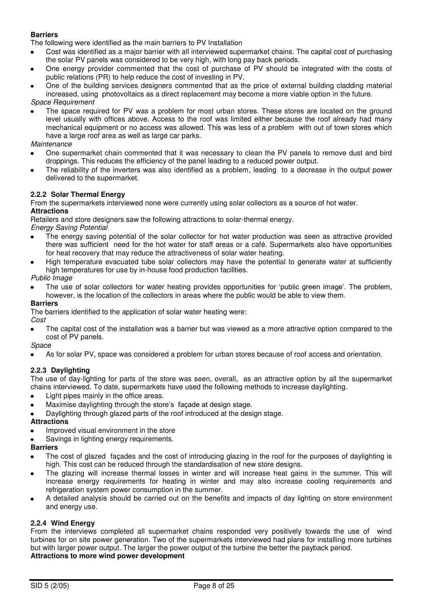#### **Barriers**

The following were identified as the main barriers to PV Installation

- Cost was identified as a major barrier with all interviewed supermarket chains. The capital cost of purchasing the solar PV panels was considered to be very high, with long pay back periods.
- One energy provider commented that the cost of purchase of PV should be integrated with the costs of public relations (PR) to help reduce the cost of investing in PV.
- One of the building services designers commented that as the price of external building cladding material increased, using photovoltaics as a direct replacement may become a more viable option in the future. *Space Requirement*
- The space required for PV was a problem for most urban stores. These stores are located on the ground level usually with offices above. Access to the roof was limited either because the roof already had many mechanical equipment or no access was allowed. This was less of a problem with out of town stores which have a large roof area as well as large car parks.

#### *Maintenance*

- One supermarket chain commented that it was necessary to clean the PV panels to remove dust and bird droppings. This reduces the efficiency of the panel leading to a reduced power output.
- The reliability of the inverters was also identified as a problem, leading to a decrease in the output power delivered to the supermarket.

#### **2.2.2 Solar Thermal Energy**

From the supermarkets interviewed none were currently using solar collectors as a source of hot water. **Attractions** 

Retailers and store designers saw the following attractions to solar-thermal energy.

*Energy Saving Potential* 

- The energy saving potential of the solar collector for hot water production was seen as attractive provided there was sufficient need for the hot water for staff areas or a café. Supermarkets also have opportunities for heat recovery that may reduce the attractiveness of solar water heating.
- High temperature evacuated tube solar collectors may have the potential to generate water at sufficiently high temperatures for use by in-house food production facilities.

*Public Image* 

 The use of solar collectors for water heating provides opportunities for "public green image". The problem, however, is the location of the collectors in areas where the public would be able to view them.

#### **Barriers**

The barriers identified to the application of solar water heating were:

#### *Cost*

 The capital cost of the installation was a barrier but was viewed as a more attractive option compared to the cost of PV panels.

#### *Space*

As for solar PV, space was considered a problem for urban stores because of roof access and orientation.

#### **2.2.3 Daylighting**

The use of day-lighting for parts of the store was seen, overall, as an attractive option by all the supermarket chains interviewed. To date, supermarkets have used the following methods to increase daylighting.

- Light pipes mainly in the office areas.
- Maximise daylighting through the store"s façade at design stage.
- Daylighting through glazed parts of the roof introduced at the design stage.

#### **Attractions**

- Improved visual environment in the store
- Savings in lighting energy requirements.

#### **Barriers**

- The cost of glazed façades and the cost of introducing glazing in the roof for the purposes of daylighting is  $\bullet$ high. This cost can be reduced through the standardisation of new store designs.
- The glazing will increase thermal losses in winter and will increase heat gains in the summer. This will increase energy requirements for heating in winter and may also increase cooling requirements and refrigeration system power consumption in the summer.
- A detailed analysis should be carried out on the benefits and impacts of day lighting on store environment and energy use.

#### **2.2.4 Wind Energy**

From the interviews completed all supermarket chains responded very positively towards the use of wind turbines for on site power generation. Two of the supermarkets interviewed had plans for installing more turbines but with larger power output. The larger the power output of the turbine the better the payback period. **Attractions to more wind power development**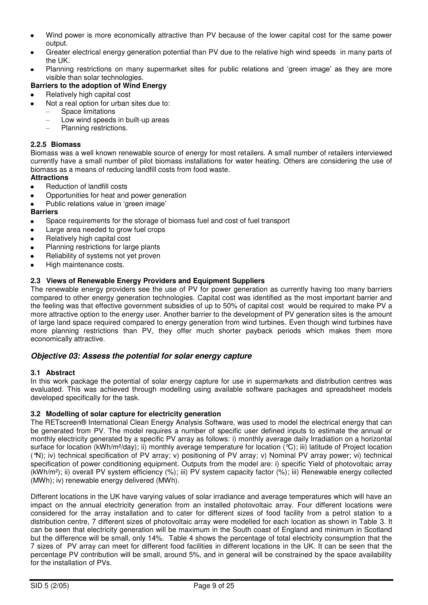- Wind power is more economically attractive than PV because of the lower capital cost for the same power  $\bullet$ output.
- Greater electrical energy generation potential than PV due to the relative high wind speeds in many parts of the UK.
- Planning restrictions on many supermarket sites for public relations and "green image" as they are more visible than solar technologies.

#### **Barriers to the adoption of Wind Energy**

- Relatively high capital cost
- Not a real option for urban sites due to:
	- Space limitations
	- Low wind speeds in built-up areas
	- Planning restrictions.

#### **2.2.5 Biomass**

Biomass was a well known renewable source of energy for most retailers. A small number of retailers interviewed currently have a small number of pilot biomass installations for water heating. Others are considering the use of biomass as a means of reducing landfill costs from food waste.

#### **Attractions**

- Reduction of landfill costs
- Opportunities for heat and power generation
- Public relations value in "green image"

#### **Barriers**

- Space requirements for the storage of biomass fuel and cost of fuel transport
- Large area needed to grow fuel crops
- Relatively high capital cost
- Planning restrictions for large plants
- Reliability of systems not yet proven
- High maintenance costs.

#### **2.3 Views of Renewable Energy Providers and Equipment Suppliers**

The renewable energy providers see the use of PV for power generation as currently having too many barriers compared to other energy generation technologies. Capital cost was identified as the most important barrier and the feeling was that effective government subsidies of up to 50% of capital cost would be required to make PV a more attractive option to the energy user. Another barrier to the development of PV generation sites is the amount of large land space required compared to energy generation from wind turbines. Even though wind turbines have more planning restrictions than PV, they offer much shorter payback periods which makes them more economically attractive.

#### *Objective 03: Assess the potential for solar energy capture*

#### **3.1 Abstract**

In this work package the potential of solar energy capture for use in supermarkets and distribution centres was evaluated. This was achieved through modelling using available software packages and spreadsheet models developed specifically for the task.

#### **3.2 Modelling of solar capture for electricity generation**

The RETscreen® International Clean Energy Analysis Software, was used to model the electrical energy that can be generated from PV. The model requires a number of specific user defined inputs to estimate the annual or monthly electricity generated by a specific PV array as follows: i) monthly average daily Irradiation on a horizontal surface for location (kWh/m<sup>2</sup>/day); ii) monthly average temperature for location (°C); iii) latitude of Project location (°N); iv) technical specification of PV array; v) positioning of PV array; v) Nominal PV array power; vi) technical specification of power conditioning equipment. Outputs from the model are: i) specific Yield of photovoltaic array (kWh/m²); ii) overall PV system efficiency (%); iii) PV system capacity factor (%); iii) Renewable energy collected (MWh); iv) renewable energy delivered (MWh).

Different locations in the UK have varying values of solar irradiance and average temperatures which will have an impact on the annual electricity generation from an installed photovoltaic array. Four different locations were considered for the array installation and to cater for different sizes of food facility from a petrol station to a distribution centre, 7 different sizes of photovoltaic array were modelled for each location as shown in Table 3. It can be seen that electricity generation will be maximum in the South coast of England and minimum in Scotland but the difference will be small, only 14%. Table 4 shows the percentage of total electricity consumption that the 7 sizes of PV array can meet for different food facilities in different locations in the UK. It can be seen that the percentage PV contribution will be small, around 5%, and in general will be constrained by the space availability for the installation of PVs.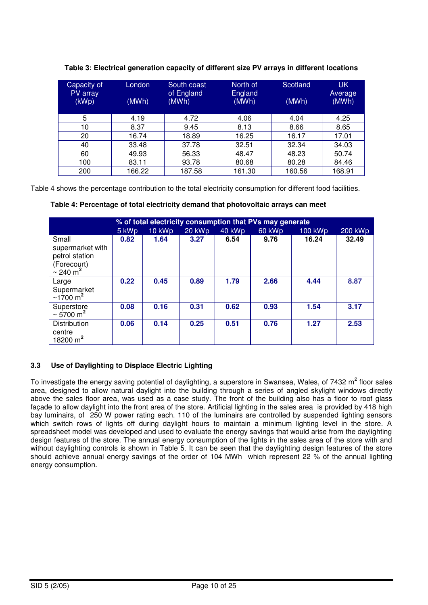| Capacity of<br>PV array<br>(kWp) | London<br>(MWh) | South coast<br>of England<br>(MWh) | North of<br>England<br>(MWh) | Scotland<br>(MWh) | <b>UK</b><br>Average<br>(MWh) |
|----------------------------------|-----------------|------------------------------------|------------------------------|-------------------|-------------------------------|
| 5                                | 4.19            | 4.72                               | 4.06                         | 4.04              | 4.25                          |
| 10                               | 8.37            | 9.45                               | 8.13                         | 8.66              | 8.65                          |
| 20                               | 16.74           | 18.89                              | 16.25                        | 16.17             | 17.01                         |
| 40                               | 33.48           | 37.78                              | 32.51                        | 32.34             | 34.03                         |
| 60                               | 49.93           | 56.33                              | 48.47                        | 48.23             | 50.74                         |
| 100                              | 83.11           | 93.78                              | 80.68                        | 80.28             | 84.46                         |
| 200                              | 66.22           | 87.58                              | 61.30                        | 160.56            | 168.91                        |

**Table 3: Electrical generation capacity of different size PV arrays in different locations** 

Table 4 shows the percentage contribution to the total electricity consumption for different food facilities.

|                                                                                         | % of total electricity consumption that PVs may generate |        |        |        |        |         |         |  |  |
|-----------------------------------------------------------------------------------------|----------------------------------------------------------|--------|--------|--------|--------|---------|---------|--|--|
|                                                                                         | 5 kWp                                                    | 10 kWp | 20 kWp | 40 kWp | 60 kWp | 100 kWp | 200 kWp |  |  |
| Small<br>supermarket with<br>petrol station<br>(Forecourt)<br>$\sim$ 240 m <sup>2</sup> | 0.82                                                     | 1.64   | 3.27   | 6.54   | 9.76   | 16.24   | 32.49   |  |  |
| Large<br>Supermarket<br>$\sim$ 1700 m <sup>2</sup>                                      | 0.22                                                     | 0.45   | 0.89   | 1.79   | 2.66   | 4.44    | 8.87    |  |  |
| Superstore<br>$\sim 5700 \text{ m}^2$                                                   | 0.08                                                     | 0.16   | 0.31   | 0.62   | 0.93   | 1.54    | 3.17    |  |  |
| <b>Distribution</b><br>centre<br>18200 $m2$                                             | 0.06                                                     | 0.14   | 0.25   | 0.51   | 0.76   | 1.27    | 2.53    |  |  |

 **Table 4: Percentage of total electricity demand that photovoltaic arrays can meet** 

#### **3.3 Use of Daylighting to Displace Electric Lighting**

To investigate the energy saving potential of daylighting, a superstore in Swansea, Wales, of 7432 m<sup>2</sup> floor sales area, designed to allow natural daylight into the building through a series of angled skylight windows directly above the sales floor area, was used as a case study. The front of the building also has a floor to roof glass façade to allow daylight into the front area of the store. Artificial lighting in the sales area is provided by 418 high bay luminairs, of 250 W power rating each. 110 of the luminairs are controlled by suspended lighting sensors which switch rows of lights off during daylight hours to maintain a minimum lighting level in the store. A spreadsheet model was developed and used to evaluate the energy savings that would arise from the daylighting design features of the store. The annual energy consumption of the lights in the sales area of the store with and without daylighting controls is shown in Table 5. It can be seen that the daylighting design features of the store should achieve annual energy savings of the order of 104 MWh which represent 22 % of the annual lighting energy consumption.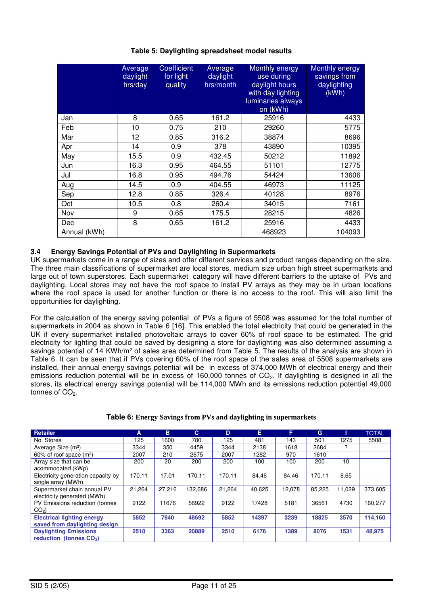|              | Average<br>daylight<br>hrs/day | <b>Coefficient</b><br>for light<br>quality | Average<br>daylight<br>hrs/month | Monthly energy<br>use during<br>daylight hours<br>with day lighting<br>luminaries always<br>on (kWh) | <b>Monthly energy</b><br>savings from<br>daylighting<br>(KWh) |
|--------------|--------------------------------|--------------------------------------------|----------------------------------|------------------------------------------------------------------------------------------------------|---------------------------------------------------------------|
| Jan          | 8                              | 0.65                                       | 161.2                            | 25916                                                                                                | 4433                                                          |
| Feb          | 10                             | 0.75                                       | 210                              | 29260                                                                                                | 5775                                                          |
| Mar          | 12                             | 0.85                                       | 316.2                            | 38874                                                                                                | 8696                                                          |
| Apr          | 14                             | 0.9                                        | 378                              | 43890                                                                                                | 10395                                                         |
| May          | 15.5                           | 0.9                                        | 432.45                           | 50212                                                                                                | 11892                                                         |
| Jun          | 16.3                           | 0.95                                       | 464.55                           | 51101                                                                                                | 12775                                                         |
| Jul          | 16.8                           | 0.95                                       | 494.76                           | 54424                                                                                                | 13606                                                         |
| Aug          | 14.5                           | 0.9                                        | 404.55                           | 46973                                                                                                | 11125                                                         |
| Sep          | 12.8                           | 0.85                                       | 326.4                            | 40128                                                                                                | 8976                                                          |
| Oct          | 10.5                           | 0.8                                        | 260.4                            | 34015                                                                                                | 7161                                                          |
| Nov          | 9                              | 0.65                                       | 175.5                            | 28215                                                                                                | 4826                                                          |
| Dec          | 8                              | 0.65                                       | 161.2                            | 25916                                                                                                | 4433                                                          |
| Annual (kWh) |                                |                                            |                                  | 468923                                                                                               | 104093                                                        |

#### **Table 5: Daylighting spreadsheet model results**

#### **3.4 Energy Savings Potential of PVs and Daylighting in Supermarkets**

UK supermarkets come in a range of sizes and offer different services and product ranges depending on the size. The three main classifications of supermarket are local stores, medium size urban high street supermarkets and large out of town superstores. Each supermarket category will have different barriers to the uptake of PVs and daylighting. Local stores may not have the roof space to install PV arrays as they may be in urban locations where the roof space is used for another function or there is no access to the roof. This will also limit the opportunities for daylighting.

For the calculation of the energy saving potential of PVs a figure of 5508 was assumed for the total number of supermarkets in 2004 as shown in Table 6 [16]. This enabled the total electricity that could be generated in the UK if every supermarket installed photovoltaic arrays to cover 60% of roof space to be estimated. The grid electricity for lighting that could be saved by designing a store for daylighting was also determined assuming a savings potential of 14 KWh/m<sup>2</sup> of sales area determined from Table 5. The results of the analysis are shown in Table 6. It can be seen that if PVs covering 60% of the roof space of the sales area of 5508 supermarkets are installed, their annual energy savings potential will be in excess of 374,000 MWh of electrical energy and their emissions reduction potential will be in excess of 160,000 tonnes of CO<sub>2</sub>. If daylighting is designed in all the stores, its electrical energy savings potential will be 114,000 MWh and its emissions reduction potential 49,000 tonnes of CO<sub>2</sub>.

| <b>Retailer</b>                                                     | A      | B      | C.      | D      | E      | F      | G      |        | <b>TOTAL</b> |
|---------------------------------------------------------------------|--------|--------|---------|--------|--------|--------|--------|--------|--------------|
| No. Stores                                                          | 125    | 1600   | 780     | 125    | 481    | 143    | 501    | 1275   | 5508         |
| Average Size (m <sup>2</sup> )                                      | 3344   | 350    | 4459    | 3344   | 2138   | 1618   | 2684   | ?      |              |
| $60\%$ of roof space (m <sup>2</sup> )                              | 2007   | 210    | 2675    | 2007   | 1282   | 970    | 1610   |        |              |
| Array size that can be                                              | 200    | 20     | 200     | 200    | 100    | 100    | 200    | 10     |              |
| acommodated (kWp)                                                   |        |        |         |        |        |        |        |        |              |
| Electricity generation capacity by<br>single array (MWh)            | 170.11 | 17.01  | 170.11  | 170.11 | 84.46  | 84.46  | 170.11 | 8.65   |              |
| Supermarket chain annual PV<br>electricity generated (MWh)          | 21.264 | 27.216 | 132.686 | 21,264 | 40.625 | 12,078 | 85.225 | 11.029 | 373,605      |
| PV Emissions reduction (tonnes<br>$CO2$ )                           | 9122   | 11676  | 56922   | 9122   | 17428  | 5181   | 36561  | 4730   | 160,277      |
| <b>Electrical lighting energy</b><br>saved from daylighting design  | 5852   | 7840   | 48692   | 5852   | 14397  | 3239   | 18825  | 3570   | 114.160      |
| <b>Daylighting Emissions</b><br>reduction (tonnes CO <sub>2</sub> ) | 2510   | 3363   | 20889   | 2510   | 6176   | 1389   | 8076   | 1531   | 48,975       |

#### **Table 6: Energy Savings from PVs and daylighting in supermarkets**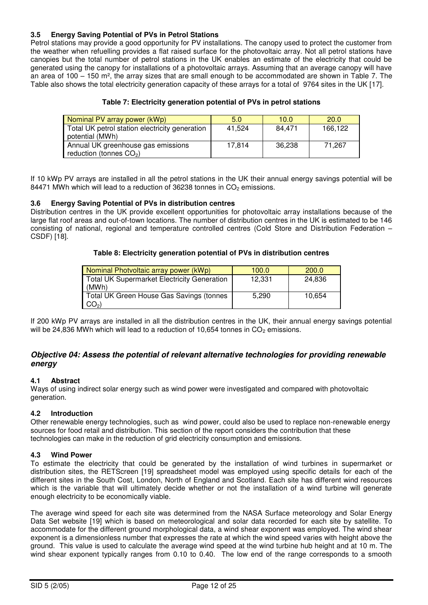#### **3.5 Energy Saving Potential of PVs in Petrol Stations**

Petrol stations may provide a good opportunity for PV installations. The canopy used to protect the customer from the weather when refuelling provides a flat raised surface for the photovoltaic array. Not all petrol stations have canopies but the total number of petrol stations in the UK enables an estimate of the electricity that could be generated using the canopy for installations of a photovoltaic arrays. Assuming that an average canopy will have an area of 100 – 150 m², the array sizes that are small enough to be accommodated are shown in Table 7. The Table also shows the total electricity generation capacity of these arrays for a total of 9764 sites in the UK [17].

#### **Table 7: Electricity generation potential of PVs in petrol stations**

| Nominal PV array power (kWp)                                      | 5.0    | 10.0   | <b>20.0</b> |
|-------------------------------------------------------------------|--------|--------|-------------|
| Total UK petrol station electricity generation<br>potential (MWh) | 41.524 | 84.471 | 166.122     |
| Annual UK greenhouse gas emissions<br>reduction (tonnes $CO2$ )   | 17.814 | 36.238 | 71.267      |

If 10 kWp PV arrays are installed in all the petrol stations in the UK their annual energy savings potential will be 84471 MWh which will lead to a reduction of 36238 tonnes in  $CO<sub>2</sub>$  emissions.

#### **3.6 Energy Saving Potential of PVs in distribution centres**

Distribution centres in the UK provide excellent opportunities for photovoltaic array installations because of the large flat roof areas and out-of-town locations. The number of distribution centres in the UK is estimated to be 146 consisting of national, regional and temperature controlled centres (Cold Store and Distribution Federation – CSDF) [18].

#### **Table 8: Electricity generation potential of PVs in distribution centres**

| Nominal Photvoltaic array power (kWp)                | 100.0  | 200.0  |
|------------------------------------------------------|--------|--------|
| Total UK Supermarket Electricity Generation<br>(MWh) | 12,331 | 24.836 |
| Total UK Green House Gas Savings (tonnes<br>$CO2$ )  | 5.290  | 10.654 |

If 200 kWp PV arrays are installed in all the distribution centres in the UK, their annual energy savings potential will be 24,836 MWh which will lead to a reduction of 10,654 tonnes in  $CO<sub>2</sub>$  emissions.

#### *Objective 04: Assess the potential of relevant alternative technologies for providing renewable energy*

#### **4.1 Abstract**

Ways of using indirect solar energy such as wind power were investigated and compared with photovoltaic generation.

#### **4.2 Introduction**

Other renewable energy technologies, such as wind power, could also be used to replace non-renewable energy sources for food retail and distribution. This section of the report considers the contribution that these technologies can make in the reduction of grid electricity consumption and emissions.

#### **4.3 Wind Power**

To estimate the electricity that could be generated by the installation of wind turbines in supermarket or distribution sites, the RETScreen [19] spreadsheet model was employed using specific details for each of the different sites in the South Cost, London, North of England and Scotland. Each site has different wind resources which is the variable that will ultimately decide whether or not the installation of a wind turbine will generate enough electricity to be economically viable.

The average wind speed for each site was determined from the NASA Surface meteorology and Solar Energy Data Set website [19] which is based on meteorological and solar data recorded for each site by satellite. To accommodate for the different ground morphological data, a wind shear exponent was employed. The wind shear exponent is a dimensionless number that expresses the rate at which the wind speed varies with height above the ground. This value is used to calculate the average wind speed at the wind turbine hub height and at 10 m. The wind shear exponent typically ranges from 0.10 to 0.40. The low end of the range corresponds to a smooth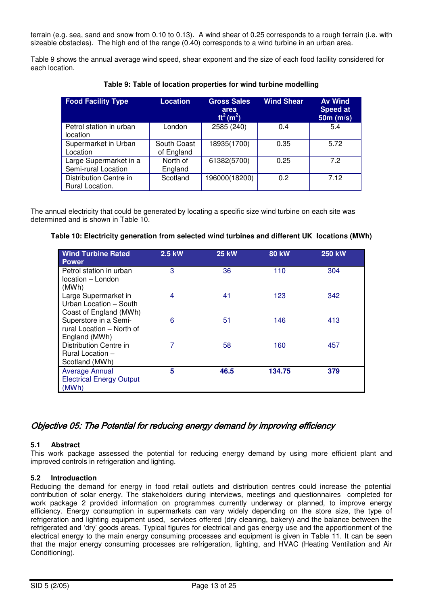terrain (e.g. sea, sand and snow from 0.10 to 0.13). A wind shear of 0.25 corresponds to a rough terrain (i.e. with sizeable obstacles). The high end of the range (0.40) corresponds to a wind turbine in an urban area.

Table 9 shows the annual average wind speed, shear exponent and the size of each food facility considered for each location.

| <b>Food Facility Type</b>                     | Location                  | <b>Gross Sales</b><br>area<br>$ft^2(m^2)$ | <b>Wind Shear</b> | <b>Av Wind</b><br><b>Speed at</b><br>$50m$ (m/s) |
|-----------------------------------------------|---------------------------|-------------------------------------------|-------------------|--------------------------------------------------|
| Petrol station in urban<br>location           | London                    | 2585 (240)                                | 0.4               | 5.4                                              |
| Supermarket in Urban<br>Location              | South Coast<br>of England | 18935(1700)                               | 0.35              | 5.72                                             |
| Large Supermarket in a<br>Semi-rural Location | North of<br>England       | 61382(5700)                               | 0.25              | 72                                               |
| Distribution Centre in<br>Rural Location.     | Scotland                  | 196000(18200)                             | 0.2               | 7.12                                             |

**Table 9: Table of location properties for wind turbine modelling** 

The annual electricity that could be generated by locating a specific size wind turbine on each site was determined and is shown in Table 10.

#### **Table 10: Electricity generation from selected wind turbines and different UK locations (MWh)**

| <b>Wind Turbine Rated</b><br><b>Power</b>                                    | 2.5 kW | <b>25 kW</b> | <b>80 kW</b> | <b>250 kW</b> |
|------------------------------------------------------------------------------|--------|--------------|--------------|---------------|
| Petrol station in urban<br>location - London                                 | 3      | 36           | 110          | 304           |
| (MWh)<br>Large Supermarket in<br>Urban Location - South                      | 4      | 41           | 123          | 342           |
| Coast of England (MWh)<br>Superstore in a Semi-<br>rural Location - North of | 6      | 51           | 146          | 413           |
| England (MWh)<br>Distribution Centre in                                      | 7      | 58           | 160          | 457           |
| <b>Rural Location -</b><br>Scotland (MWh)                                    |        |              |              |               |
| <b>Average Annual</b><br><b>Electrical Energy Output</b><br>(MWh)            | 5      | 46.5         | 134.75       | 379           |

#### Objective 05: The Potential for reducing energy demand by improving efficiency

#### **5.1 Abstract**

This work package assessed the potential for reducing energy demand by using more efficient plant and improved controls in refrigeration and lighting.

#### **5.2 Introduaction**

Reducing the demand for energy in food retail outlets and distribution centres could increase the potential contribution of solar energy. The stakeholders during interviews, meetings and questionnaires completed for work package 2 provided information on programmes currently underway or planned, to improve energy efficiency. Energy consumption in supermarkets can vary widely depending on the store size, the type of refrigeration and lighting equipment used, services offered (dry cleaning, bakery) and the balance between the refrigerated and "dry" goods areas. Typical figures for electrical and gas energy use and the apportionment of the electrical energy to the main energy consuming processes and equipment is given in Table 11. It can be seen that the major energy consuming processes are refrigeration, lighting, and HVAC (Heating Ventilation and Air Conditioning).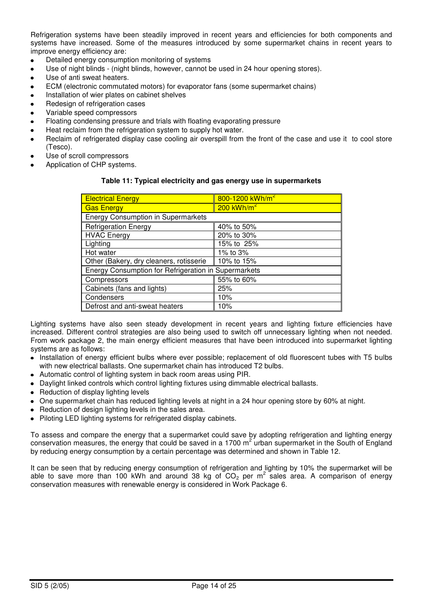Refrigeration systems have been steadily improved in recent years and efficiencies for both components and systems have increased. Some of the measures introduced by some supermarket chains in recent years to improve energy efficiency are:

- Detailed energy consumption monitoring of systems
- Use of night blinds (night blinds, however, cannot be used in 24 hour opening stores).
- Use of anti sweat heaters.
- ECM (electronic commutated motors) for evaporator fans (some supermarket chains)
- Installation of wier plates on cabinet shelves
- Redesign of refrigeration cases
- Variable speed compressors
- Floating condensing pressure and trials with floating evaporating pressure
- Heat reclaim from the refrigeration system to supply hot water.
- Reclaim of refrigerated display case cooling air overspill from the front of the case and use it to cool store (Tesco).
- Use of scroll compressors
- Application of CHP systems.

#### **Table 11: Typical electricity and gas energy use in supermarkets**

| <b>Electrical Energy</b>                             | 800-1200 kWh/m <sup>2</sup> |  |  |  |  |  |  |
|------------------------------------------------------|-----------------------------|--|--|--|--|--|--|
| <b>Gas Energy</b>                                    | $200$ kWh/m <sup>2</sup>    |  |  |  |  |  |  |
| <b>Energy Consumption in Supermarkets</b>            |                             |  |  |  |  |  |  |
| <b>Refrigeration Energy</b>                          | 40% to 50%                  |  |  |  |  |  |  |
| <b>HVAC Energy</b>                                   | 20% to 30%                  |  |  |  |  |  |  |
| Lighting                                             | 15% to 25%                  |  |  |  |  |  |  |
| Hot water                                            | 1% to 3%                    |  |  |  |  |  |  |
| Other (Bakery, dry cleaners, rotisserie              | 10% to 15%                  |  |  |  |  |  |  |
| Energy Consumption for Refrigeration in Supermarkets |                             |  |  |  |  |  |  |
| Compressors                                          | 55% to 60%                  |  |  |  |  |  |  |
| Cabinets (fans and lights)                           | 25%                         |  |  |  |  |  |  |
| Condensers                                           | 10%                         |  |  |  |  |  |  |
| Defrost and anti-sweat heaters                       | 10%                         |  |  |  |  |  |  |

Lighting systems have also seen steady development in recent years and lighting fixture efficiencies have increased. Different control strategies are also being used to switch off unnecessary lighting when not needed. From work package 2, the main energy efficient measures that have been introduced into supermarket lighting systems are as follows:

- Installation of energy efficient bulbs where ever possible; replacement of old fluorescent tubes with T5 bulbs with new electrical ballasts. One supermarket chain has introduced T2 bulbs.
- Automatic control of lighting system in back room areas using PIR.
- Daylight linked controls which control lighting fixtures using dimmable electrical ballasts.
- Reduction of display lighting levels
- One supermarket chain has reduced lighting levels at night in a 24 hour opening store by 60% at night.
- Reduction of design lighting levels in the sales area.
- Piloting LED lighting systems for refrigerated display cabinets.

To assess and compare the energy that a supermarket could save by adopting refrigeration and lighting energy conservation measures, the energy that could be saved in a 1700  $m^2$  urban supermarket in the South of England by reducing energy consumption by a certain percentage was determined and shown in Table 12.

It can be seen that by reducing energy consumption of refrigeration and lighting by 10% the supermarket will be able to save more than 100 kWh and around 38 kg of  $CO<sub>2</sub>$  per m<sup>2</sup> sales area. A comparison of energy conservation measures with renewable energy is considered in Work Package 6.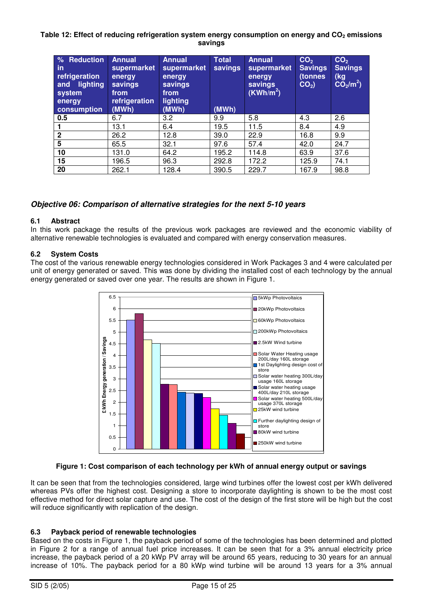#### **Table 12: Effect of reducing refrigeration system energy consumption on energy and CO2 emissions savings**

| % Reduction<br>$\mathsf{in}$<br>refrigeration<br>lighting<br>and<br>system<br>energy<br>consumption | <b>Annual</b><br>supermarket<br>energy<br>savings<br>from<br>refrigeration<br>(MWh) | <b>Annual</b><br>supermarket<br>energy<br>savings<br>from<br>lighting<br>(MWh) | <b>Total</b><br>savings<br>(MWh) | <b>Annual</b><br>supermarket<br>energy<br>savings<br>(KWh/m <sup>2</sup> ) | CO <sub>2</sub><br><b>Savings</b><br>(tonnes<br>$CO2$ ) | CO <sub>2</sub><br><b>Savings</b><br>(kg<br>CO <sub>2</sub> /m <sup>2</sup> ) |
|-----------------------------------------------------------------------------------------------------|-------------------------------------------------------------------------------------|--------------------------------------------------------------------------------|----------------------------------|----------------------------------------------------------------------------|---------------------------------------------------------|-------------------------------------------------------------------------------|
| 0.5                                                                                                 | 6.7                                                                                 | 3.2                                                                            | 9.9                              | 5.8                                                                        | 4.3                                                     | 2.6                                                                           |
|                                                                                                     | 13.1                                                                                | 6.4                                                                            | 19.5                             | 11.5                                                                       | 8.4                                                     | 4.9                                                                           |
| $\mathbf{2}$                                                                                        | 26.2                                                                                | 12.8                                                                           | 39.0                             | 22.9                                                                       | 16.8                                                    | 9.9                                                                           |
| 5                                                                                                   | 65.5                                                                                | 32.1                                                                           | 97.6                             | 57.4                                                                       | 42.0                                                    | 24.7                                                                          |
| 10                                                                                                  | 131.0                                                                               | 64.2                                                                           | 195.2                            | 114.8                                                                      | 63.9                                                    | 37.6                                                                          |
| 15                                                                                                  | 196.5                                                                               | 96.3                                                                           | 292.8                            | 172.2                                                                      | 125.9                                                   | 74.1                                                                          |
| 20                                                                                                  | 262.1                                                                               | 128.4                                                                          | 390.5                            | 229.7                                                                      | 167.9                                                   | 98.8                                                                          |

#### *Objective 06: Comparison of alternative strategies for the next 5-10 years*

#### **6.1 Abstract**

In this work package the results of the previous work packages are reviewed and the economic viability of alternative renewable technologies is evaluated and compared with energy conservation measures.

#### **6.2 System Costs**

The cost of the various renewable energy technologies considered in Work Packages 3 and 4 were calculated per unit of energy generated or saved. This was done by dividing the installed cost of each technology by the annual energy generated or saved over one year. The results are shown in Figure 1.



#### **Figure 1: Cost comparison of each technology per kWh of annual energy output or savings**

It can be seen that from the technologies considered, large wind turbines offer the lowest cost per kWh delivered whereas PVs offer the highest cost. Designing a store to incorporate daylighting is shown to be the most cost effective method for direct solar capture and use. The cost of the design of the first store will be high but the cost will reduce significantly with replication of the design.

#### **6.3 Payback period of renewable technologies**

Based on the costs in Figure 1, the payback period of some of the technologies has been determined and plotted in Figure 2 for a range of annual fuel price increases. It can be seen that for a 3% annual electricity price increase, the payback period of a 20 kWp PV array will be around 65 years, reducing to 30 years for an annual increase of 10%. The payback period for a 80 kWp wind turbine will be around 13 years for a 3% annual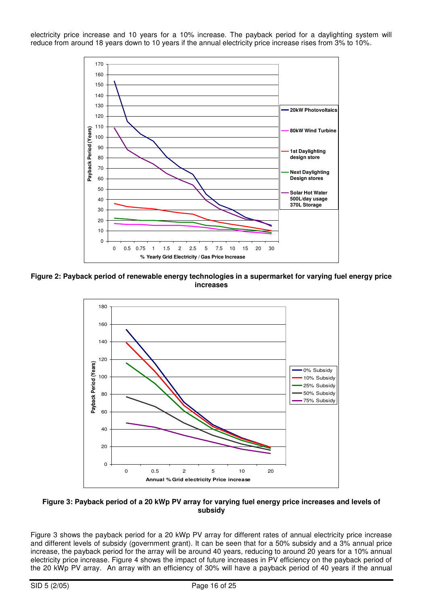electricity price increase and 10 years for a 10% increase. The payback period for a daylighting system will reduce from around 18 years down to 10 years if the annual electricity price increase rises from 3% to 10%.



**Figure 2: Payback period of renewable energy technologies in a supermarket for varying fuel energy price increases** 



**Figure 3: Payback period of a 20 kWp PV array for varying fuel energy price increases and levels of subsidy** 

Figure 3 shows the payback period for a 20 kWp PV array for different rates of annual electricity price increase and different levels of subsidy (government grant). It can be seen that for a 50% subsidy and a 3% annual price increase, the payback period for the array will be around 40 years, reducing to around 20 years for a 10% annual electricity price increase. Figure 4 shows the impact of future increases in PV efficiency on the payback period of the 20 kWp PV array. An array with an efficiency of 30% will have a payback period of 40 years if the annual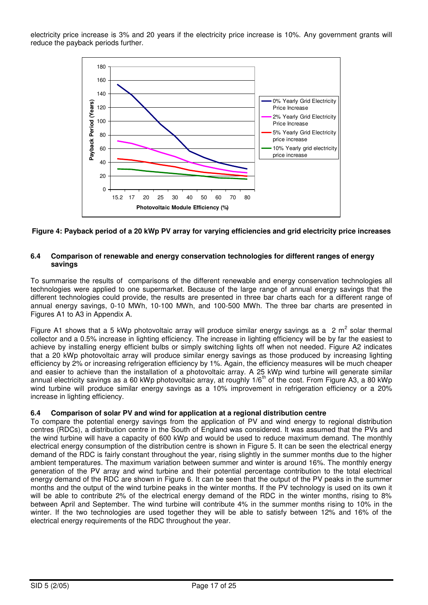electricity price increase is 3% and 20 years if the electricity price increase is 10%. Any government grants will reduce the payback periods further.



#### **Figure 4: Payback period of a 20 kWp PV array for varying efficiencies and grid electricity price increases**

#### **6.4 Comparison of renewable and energy conservation technologies for different ranges of energy savings**

To summarise the results of comparisons of the different renewable and energy conservation technologies all technologies were applied to one supermarket. Because of the large range of annual energy savings that the different technologies could provide, the results are presented in three bar charts each for a different range of annual energy savings, 0-10 MWh, 10-100 MWh, and 100-500 MWh. The three bar charts are presented in Figures A1 to A3 in Appendix A.

Figure A1 shows that a 5 kWp photovoltaic array will produce similar energy savings as a  $2 \text{ m}^2$  solar thermal collector and a 0.5% increase in lighting efficiency. The increase in lighting efficiency will be by far the easiest to achieve by installing energy efficient bulbs or simply switching lights off when not needed. Figure A2 indicates that a 20 kWp photovoltaic array will produce similar energy savings as those produced by increasing lighting efficiency by 2% or increasing refrigeration efficiency by 1%. Again, the efficiency measures will be much cheaper and easier to achieve than the installation of a photovoltaic array. A 25 kWp wind turbine will generate similar annual electricity savings as a 60 kWp photovoltaic array, at roughly 1/6<sup>th</sup> of the cost. From Figure A3, a 80 kWp wind turbine will produce similar energy savings as a 10% improvement in refrigeration efficiency or a 20% increase in lighting efficiency.

#### **6.4 Comparison of solar PV and wind for application at a regional distribution centre**

To compare the potential energy savings from the application of PV and wind energy to regional distribution centres (RDCs), a distribution centre in the South of England was considered. It was assumed that the PVs and the wind turbine will have a capacity of 600 kWp and would be used to reduce maximum demand. The monthly electrical energy consumption of the distribution centre is shown in Figure 5. It can be seen the electrical energy demand of the RDC is fairly constant throughout the year, rising slightly in the summer months due to the higher ambient temperatures. The maximum variation between summer and winter is around 16%. The monthly energy generation of the PV array and wind turbine and their potential percentage contribution to the total electrical energy demand of the RDC are shown in Figure 6. It can be seen that the output of the PV peaks in the summer months and the output of the wind turbine peaks in the winter months. If the PV technology is used on its own it will be able to contribute 2% of the electrical energy demand of the RDC in the winter months, rising to 8% between April and September. The wind turbine will contribute 4% in the summer months rising to 10% in the winter. If the two technologies are used together they will be able to satisfy between 12% and 16% of the electrical energy requirements of the RDC throughout the year.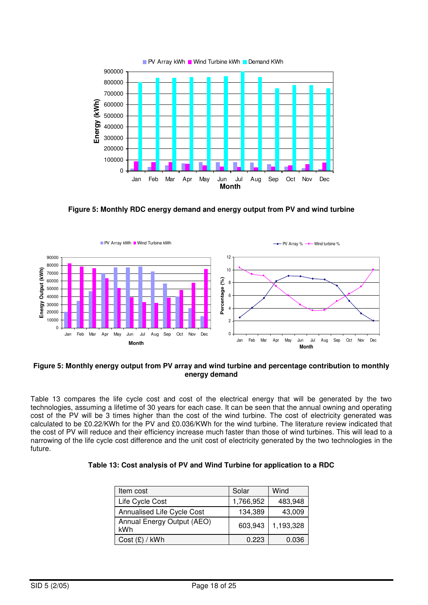

**Figure 5: Monthly RDC energy demand and energy output from PV and wind turbine** 



#### **Figure 5: Monthly energy output from PV array and wind turbine and percentage contribution to monthly energy demand**

Table 13 compares the life cycle cost and cost of the electrical energy that will be generated by the two technologies, assuming a lifetime of 30 years for each case. It can be seen that the annual owning and operating cost of the PV will be 3 times higher than the cost of the wind turbine. The cost of electricity generated was calculated to be £0.22/KWh for the PV and £0.036/KWh for the wind turbine. The literature review indicated that the cost of PV will reduce and their efficiency increase much faster than those of wind turbines. This will lead to a narrowing of the life cycle cost difference and the unit cost of electricity generated by the two technologies in the future.

| Item cost                         | Solar     | Wind      |
|-----------------------------------|-----------|-----------|
| Life Cycle Cost                   | 1,766,952 | 483,948   |
| Annualised Life Cycle Cost        | 134,389   | 43,009    |
| Annual Energy Output (AEO)<br>kWh | 603,943   | 1,193,328 |
| Cost (£) / kWh                    | 0.223     | 0.036     |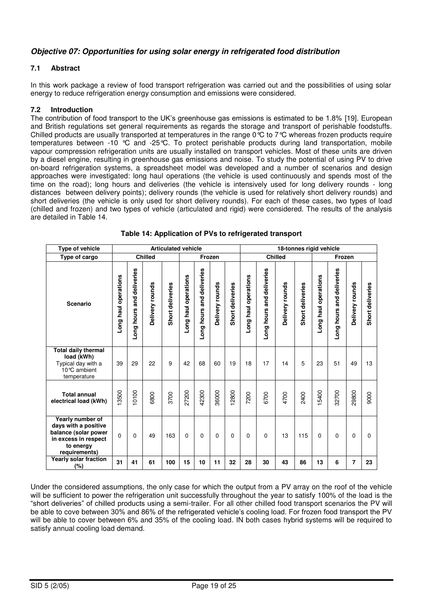#### *Objective 07: Opportunities for using solar energy in refrigerated food distribution*

#### **7.1 Abstract**

In this work package a review of food transport refrigeration was carried out and the possibilities of using solar energy to reduce refrigeration energy consumption and emissions were considered.

#### **7.2 Introduction**

The contribution of food transport to the UK"s greenhouse gas emissions is estimated to be 1.8% [19]. European and British regulations set general requirements as regards the storage and transport of perishable foodstuffs. Chilled products are usually transported at temperatures in the range  $0^{\circ}C$  to 7°C whereas frozen products require temperatures between -10 °C and -25°C. To protect perishable products during land transportation, mobile vapour compression refrigeration units are usually installed on transport vehicles. Most of these units are driven by a diesel engine, resulting in greenhouse gas emissions and noise. To study the potential of using PV to drive on-board refrigeration systems, a spreadsheet model was developed and a number of scenarios and design approaches were investigated: long haul operations (the vehicle is used continuously and spends most of the time on the road); long hours and deliveries (the vehicle is intensively used for long delivery rounds - long distances between delivery points); delivery rounds (the vehicle is used for relatively short delivery rounds) and short deliveries (the vehicle is only used for short delivery rounds). For each of these cases, two types of load (chilled and frozen) and two types of vehicle (articulated and rigid) were considered. The results of the analysis are detailed in Table 14.

| <b>Type of vehicle</b>                                                                                                 | <b>Articulated vehicle</b> |                              |                 |                  |                      |                                 |                 | 18-tonnes rigid vehicle |                      |                              |                 |                  |                         |                              |                 |                  |
|------------------------------------------------------------------------------------------------------------------------|----------------------------|------------------------------|-----------------|------------------|----------------------|---------------------------------|-----------------|-------------------------|----------------------|------------------------------|-----------------|------------------|-------------------------|------------------------------|-----------------|------------------|
| Type of cargo                                                                                                          | <b>Chilled</b>             |                              |                 |                  | <b>Frozen</b>        |                                 |                 | <b>Chilled</b>          |                      |                              |                 | Frozen           |                         |                              |                 |                  |
| <b>Scenario</b>                                                                                                        | -ong haul operations       | and deliveries<br>Long hours | Delivery rounds | Short deliveries | Long haul operations | deliveries<br>and<br>Long hours | Delivery rounds | Short deliveries        | -ong haul operations | and deliveries<br>Long hours | Delivery rounds | Short deliveries | haul operations<br>Long | and deliveries<br>Long hours | Delivery rounds | Short deliveries |
| <b>Total daily thermal</b><br>load (kWh)<br>Typical day with a<br>10°C ambient<br>temperature                          | 39                         | 29                           | 22              | 9                | 42                   | 68                              | 60              | 19                      | 18                   | 17                           | 14              | 5                | 23                      | 51                           | 49              | 13               |
| <b>Total annual</b><br>electrical load (kWh)                                                                           | 13500                      | 10100                        | 6800            | 3700             | 27200                | 42300                           | 36000           | 12800                   | 7200                 | 6700                         | 4700            | 2400             | 15400                   | 32700                        | 29800           | 9000             |
| Yearly number of<br>days with a positive<br>balance (solar power<br>in excess in respect<br>to energy<br>requirements) | $\Omega$                   | 0                            | 49              | 163              | 0                    | 0                               | $\mathbf 0$     | 0                       | $\Omega$             | $\mathbf 0$                  | 13              | 115              | 0                       | $\Omega$                     | 0               | $\Omega$         |
| <b>Yearly solar fraction</b><br>(%)                                                                                    | 31                         | 41                           | 61              | 100              | 15                   | 10                              | 11              | 32                      | 28                   | 30                           | 43              | 86               | 13                      | 6                            | 7               | 23               |

**Table 14: Application of PVs to refrigerated transport** 

Under the considered assumptions, the only case for which the output from a PV array on the roof of the vehicle will be sufficient to power the refrigeration unit successfully throughout the year to satisfy 100% of the load is the "short deliveries" of chilled products using a semi-trailer. For all other chilled food transport scenarios the PV will be able to cove between 30% and 86% of the refrigerated vehicle"s cooling load. For frozen food transport the PV will be able to cover between 6% and 35% of the cooling load. IN both cases hybrid systems will be required to satisfy annual cooling load demand.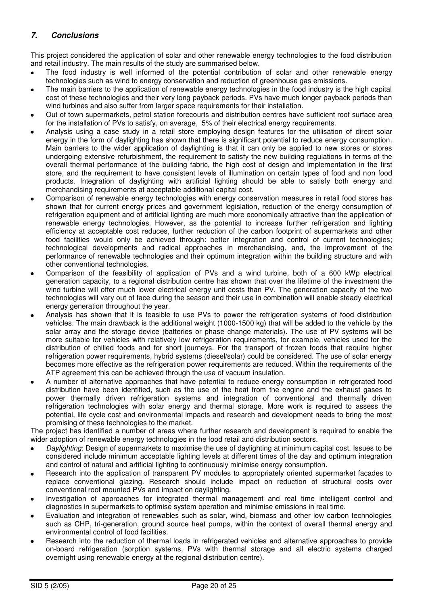#### *7. Conclusions*

This project considered the application of solar and other renewable energy technologies to the food distribution and retail industry. The main results of the study are summarised below.

- The food industry is well informed of the potential contribution of solar and other renewable energy technologies such as wind to energy conservation and reduction of greenhouse gas emissions.
- The main barriers to the application of renewable energy technologies in the food industry is the high capital cost of these technologies and their very long payback periods. PVs have much longer payback periods than wind turbines and also suffer from larger space requirements for their installation.
- Out of town supermarkets, petrol station forecourts and distribution centres have sufficient roof surface area for the installation of PVs to satisfy, on average, 5% of their electrical energy requirements.
- Analysis using a case study in a retail store employing design features for the utilisation of direct solar energy in the form of daylighting has shown that there is significant potential to reduce energy consumption. Main barriers to the wider application of daylighting is that it can only be applied to new stores or stores undergoing extensive refurbishment, the requirement to satisfy the new building regulations in terms of the overall thermal performance of the building fabric, the high cost of design and implementation in the first store, and the requirement to have consistent levels of illumination on certain types of food and non food products. Integration of daylighting with artificial lighting should be able to satisfy both energy and merchandising requirements at acceptable additional capital cost.
- Comparison of renewable energy technologies with energy conservation measures in retail food stores has shown that for current energy prices and government legislation, reduction of the energy consumption of refrigeration equipment and of artificial lighting are much more economically attractive than the application of renewable energy technologies. However, as the potential to increase further refrigeration and lighting efficiency at acceptable cost reduces, further reduction of the carbon footprint of supermarkets and other food facilities would only be achieved through: better integration and control of current technologies; technological developments and radical approaches in merchandising, and, the improvement of the performance of renewable technologies and their optimum integration within the building structure and with other conventional technologies.
- Comparison of the feasibility of application of PVs and a wind turbine, both of a 600 kWp electrical generation capacity, to a regional distribution centre has shown that over the lifetime of the investment the wind turbine will offer much lower electrical energy unit costs than PV. The generation capacity of the two technologies will vary out of face during the season and their use in combination will enable steady electrical energy generation throughout the year.
- Analysis has shown that it is feasible to use PVs to power the refrigeration systems of food distribution vehicles. The main drawback is the additional weight (1000-1500 kg) that will be added to the vehicle by the solar array and the storage device (batteries or phase change materials). The use of PV systems will be more suitable for vehicles with relatively low refrigeration requirements, for example, vehicles used for the distribution of chilled foods and for short journeys. For the transport of frozen foods that require higher refrigeration power requirements, hybrid systems (diesel/solar) could be considered. The use of solar energy becomes more effective as the refrigeration power requirements are reduced. Within the requirements of the ATP agreement this can be achieved through the use of vacuum insulation.
- A number of alternative approaches that have potential to reduce energy consumption in refrigerated food distribution have been identified, such as the use of the heat from the engine and the exhaust gases to power thermally driven refrigeration systems and integration of conventional and thermally driven refrigeration technologies with solar energy and thermal storage. More work is required to assess the potential, life cycle cost and environmental impacts and research and development needs to bring the most promising of these technologies to the market.

The project has identified a number of areas where further research and development is required to enable the wider adoption of renewable energy technologies in the food retail and distribution sectors.

- *Daylighting*: Design of supermarkets to maximise the use of daylighting at minimum capital cost. Issues to be considered include minimum acceptable lighting levels at different times of the day and optimum integration and control of natural and artificial lighting to continuously minimise energy consumption.
- Research into the application of transparent PV modules to appropriately oriented supermarket facades to replace conventional glazing. Research should include impact on reduction of structural costs over conventional roof mounted PVs and impact on daylighting.
- Investigation of approaches for integrated thermal management and real time intelligent control and diagnostics in supermarkets to optimise system operation and minimise emissions in real time.
- Evaluation and integration of renewables such as solar, wind, biomass and other low carbon technologies such as CHP, tri-generation, ground source heat pumps, within the context of overall thermal energy and environmental control of food facilities.
- Research into the reduction of thermal loads in refrigerated vehicles and alternative approaches to provide on-board refrigeration (sorption systems, PVs with thermal storage and all electric systems charged overnight using renewable energy at the regional distribution centre).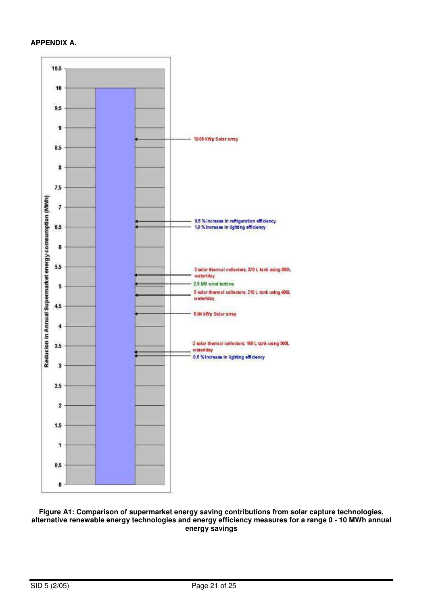#### **APPENDIX A.**



**Figure A1: Comparison of supermarket energy saving contributions from solar capture technologies, alternative renewable energy technologies and energy efficiency measures for a range 0 - 10 MWh annual energy savings**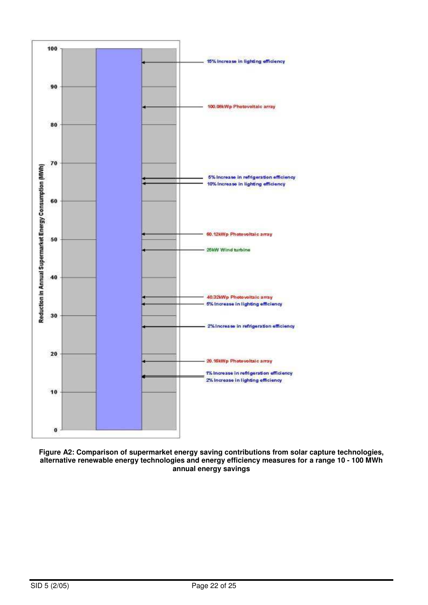

**Figure A2: Comparison of supermarket energy saving contributions from solar capture technologies, alternative renewable energy technologies and energy efficiency measures for a range 10 - 100 MWh annual energy savings**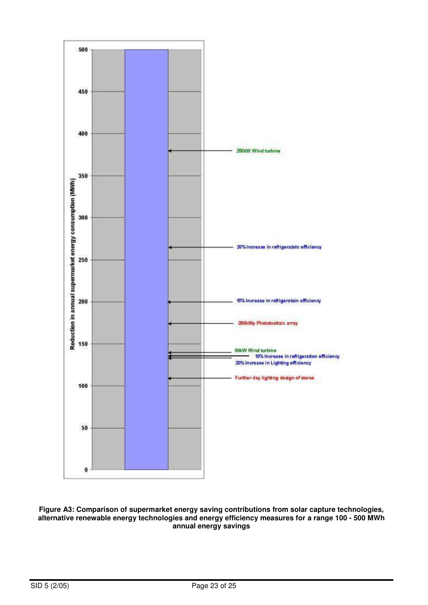

**Figure A3: Comparison of supermarket energy saving contributions from solar capture technologies, alternative renewable energy technologies and energy efficiency measures for a range 100 - 500 MWh annual energy savings**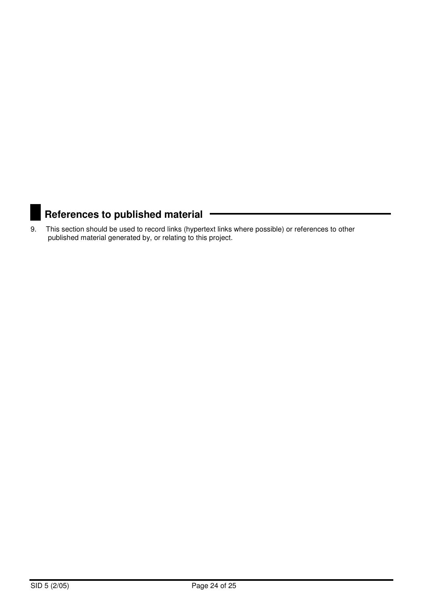## **References to published material**

9. This section should be used to record links (hypertext links where possible) or references to other published material generated by, or relating to this project.